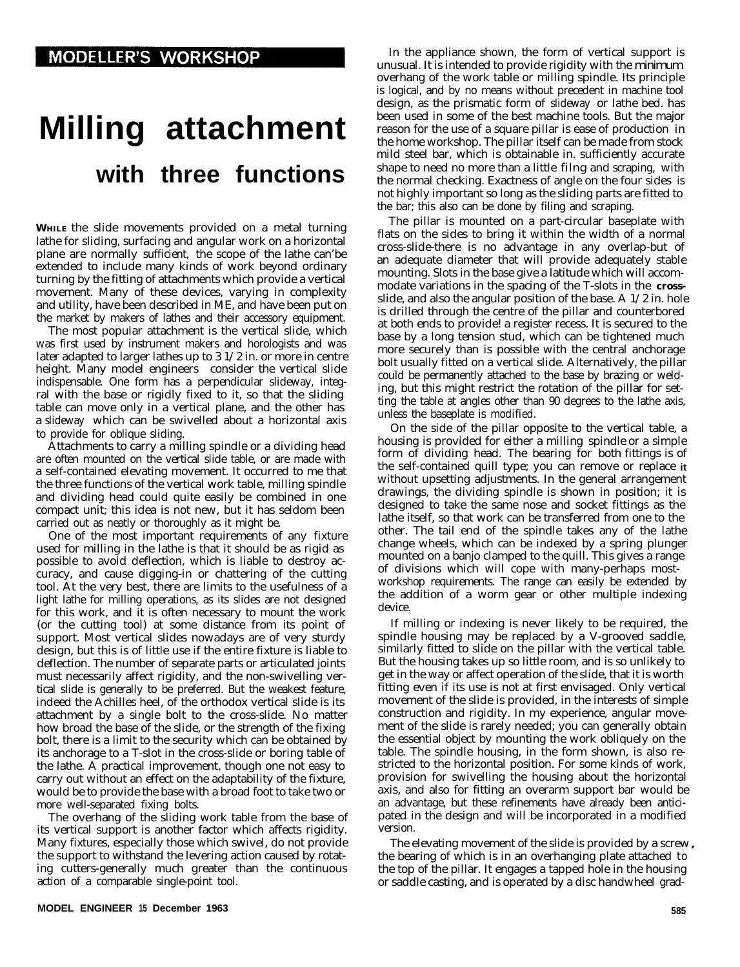## **Milling attachment with three functions**

**WHILE** the slide movements provided on a metal turning lathe for sliding, surfacing and angular work on a horizontal plane are normally sufficient, the scope of the lathe can'be extended to include many kinds of work beyond ordinary turning by the fitting of attachments which provide a vertical movement. Many of these devices, varying in complexity and utility, have been described in ME, and have been put on the market by makers of lathes and their accessory equipment.

The most popular attachment is the vertical slide, which was first used by instrument makers and horologists and was later adapted to larger lathes up to 3 1/2 in. or more in centre height. Many model engineers consider the vertical slide indispensable. One form has a perpendicular slideway, integral with the base or rigidly fixed to it, so that the sliding table can move only in a vertical plane, and the other has a slideway which can be swivelled about a horizontal axis to provide for oblique sliding.

Attachments to carry a milling spindle or a dividing head are often mounted on the vertical slide table, or are made with a self-contained elevating movement. It occurred to me that the three functions of the vertical work table, milling spindle and dividing head could quite easily be combined in one compact unit; this idea is not new, but it has seldom been carried out as neatly or thoroughly as it might be.

One of the most important requirements of any fixture used for milling in the lathe is that it should be as rigid as possible to avoid deflection, which is liable to destroy accuracy, and cause digging-in or chattering of the cutting tool. At the very best, there are limits to the usefulness of a light lathe for milling operations, as its slides are not designed for this work, and it is often necessary to mount the work (or the cutting tool) at some distance from its point of support. Most vertical slides nowadays are of very sturdy design, but this is of little use if the entire fixture is liable to deflection. The number of separate parts or articulated joints must necessarily affect rigidity, and the non-swivelling vertical slide is generally to be preferred. But the weakest feature, indeed the Achilles heel, of the orthodox vertical slide is its attachment by a single bolt to the cross-slide. No matter how broad the base of the slide, or the strength of the fixing bolt, there is a limit to the security which can be obtained by its anchorage to a T-slot in the cross-slide or boring table of the lathe. A practical improvement, though one not easy to carry out without an effect on the adaptability of the fixture, would be to provide the base with a broad foot to take two or more well-separated fixing bolts.

The overhang of the sliding work table from the base of its vertical support is another factor which affects rigidity. Many fixtures, especially those which swivel, do not provide the support to withstand the levering action caused by rotating cutters-generally much greater than the continuous action of a comparable single-point tool.

In the appliance shown, the form of vertical support is unusual. It is intended to provide rigidity with the minimum overhang of the work table or milling spindle. Its principle is logical, and by no means without precedent in machine tool design, as the prismatic form of slideway or lathe bed. has been used in some of the best machine tools. But the major reason for the use of a square pillar is ease of production in the home workshop. The pillar itself can be made from stock mild steel bar, which is obtainable in. sufficiently accurate shape to need no more than a little filng and scraping, with the normal checking. Exactness of angle on the four sides is not highly important so long as the sliding parts are fitted to the bar; this also can be done by filing and scraping.

The pillar is mounted on a part-circular baseplate with flats on the sides to bring it within the width of a normal cross-slide-there is no advantage in any overlap-but of an adequate diameter that will provide adequately stable mounting. Slots in the base give a latitude which will accommodate variations in the spacing of the T-slots in the **cross**slide, and also the angular position of the base. A 1/2 in. hole is drilled through the centre of the pillar and counterbored at both ends to provide! a register recess. It is secured to the base by a long tension stud, which can be tightened much more securely than is possible with the central anchorage bolt usually fitted on a vertical slide. Alternatively, the pillar could be permanently attached to the base by brazing or welding, but this might restrict the rotation of the pillar for setting the table at angles other than 90 degrees to the lathe axis, unless the baseplate is modified.

On the side of the pillar opposite to the vertical table, a housing is provided for either a milling spindle or a simple form of dividing head. The bearing for both fittings is of the self-contained quill type; you can remove or replace **it** without upsetting adjustments. In the general arrangement drawings, the dividing spindle is shown in position; it is designed to take the same nose and socket fittings as the lathe itself, so that work can be transferred from one to the other. The tail end of the spindle takes any of the lathe change wheels, which can be indexed by a spring plunger mounted on a banjo clamped to the quill. This gives a range of divisions which will cope with many-perhaps mostworkshop requirements. The range can easily be extended by the addition of a worm gear or other multiple indexing device.

If milling or indexing is never likely to be required, the spindle housing may be replaced by a V-grooved saddle, similarly fitted to slide on the pillar with the vertical table. But the housing takes up so little room, and is so unlikely to get in the way or affect operation of the slide, that it is worth fitting even if its use is not at first envisaged. Only vertical movement of the slide is provided, in the interests of simple construction and rigidity. In my experience, angular movement of the slide is rarely needed; you can generally obtain the essential object by mounting the work obliquely on the table. The spindle housing, in the form shown, is also restricted to the horizontal position. For some kinds of work, provision for swivelling the housing about the horizontal axis, and also for fitting an overarm support bar would be an advantage, but these refinements have already been anticipated in the design and will be incorporated in a modified version.

The elevating movement of the slide is provided by a screw, the bearing of which is in an overhanging plate attached to the top of the pillar. It engages a tapped hole in the housing or saddle casting, and is operated by a disc handwheel grad-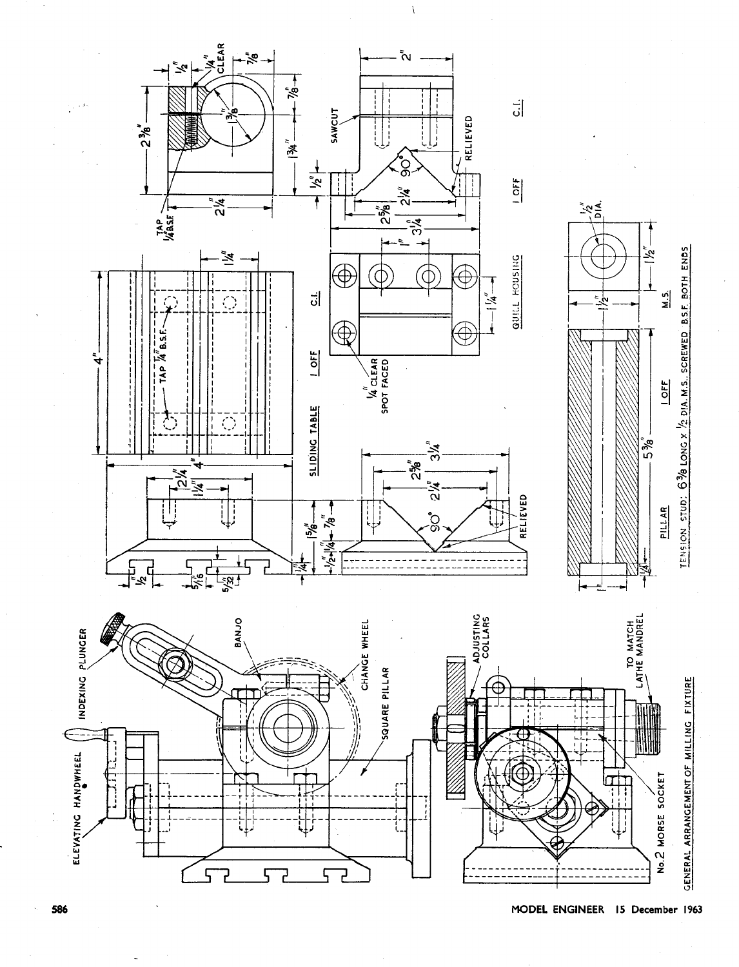

MODEL ENGINEER 15 December 1963